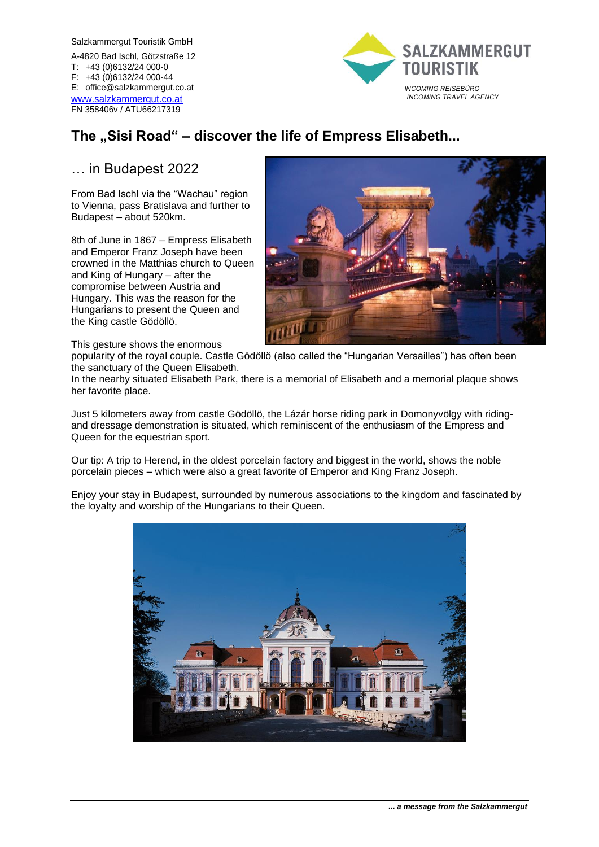Salzkammergut Touristik GmbH A-4820 Bad Ischl, Götzstraße 12 T: +43 (0)6132/24 000-0 F: +43 (0)6132/24 000-44 E: office@salzkammergut.co.at [www.salzkammergut.co.at](http://www.salzkammergut.co.at/) FN 358406v / ATU66217319



## The "Sisi Road" – discover the life of Empress Elisabeth...

## … in Budapest 2022

From Bad Ischl via the "Wachau" region to Vienna, pass Bratislava and further to Budapest – about 520km.

8th of June in 1867 – Empress Elisabeth and Emperor Franz Joseph have been crowned in the Matthias church to Queen and King of Hungary – after the compromise between Austria and Hungary. This was the reason for the Hungarians to present the Queen and the King castle Gödöllö.



This gesture shows the enormous

popularity of the royal couple. Castle Gödöllö (also called the "Hungarian Versailles") has often been the sanctuary of the Queen Elisabeth.

In the nearby situated Elisabeth Park, there is a memorial of Elisabeth and a memorial plaque shows her favorite place.

Just 5 kilometers away from castle Gödöllö, the Lázár horse riding park in Domonyvölgy with ridingand dressage demonstration is situated, which reminiscent of the enthusiasm of the Empress and Queen for the equestrian sport.

Our tip: A trip to Herend, in the oldest porcelain factory and biggest in the world, shows the noble porcelain pieces – which were also a great favorite of Emperor and King Franz Joseph.

Enjoy your stay in Budapest, surrounded by numerous associations to the kingdom and fascinated by the loyalty and worship of the Hungarians to their Queen.